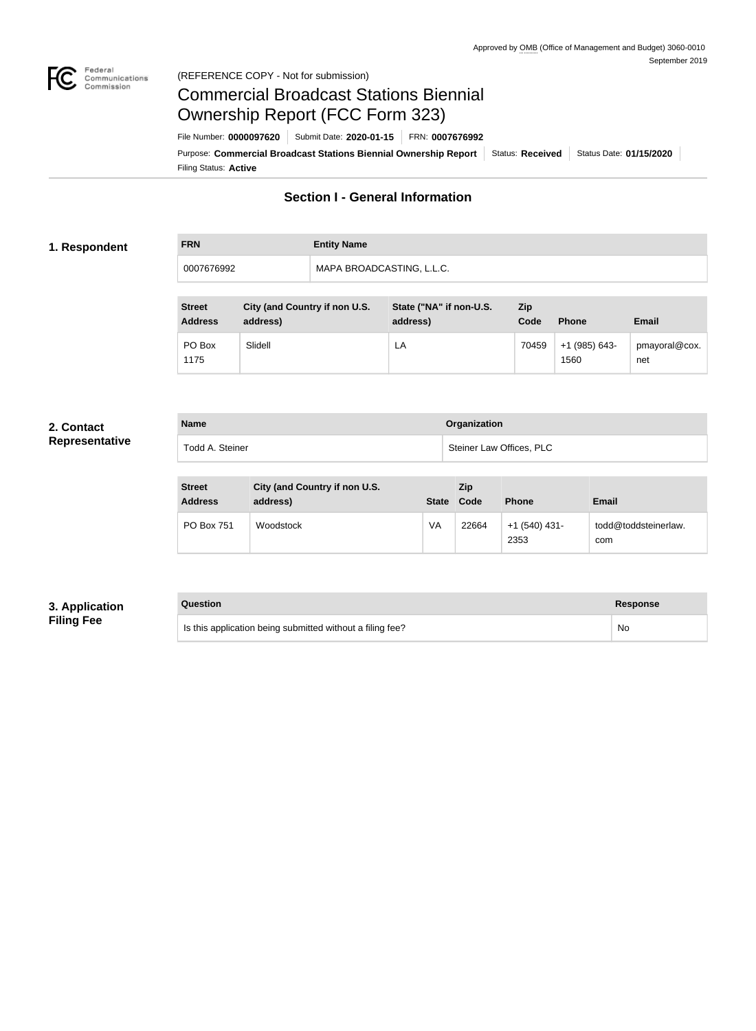

#### Federal<br>Communications<br>Commission (REFERENCE COPY - Not for submission)

# Commercial Broadcast Stations Biennial Ownership Report (FCC Form 323)

Filing Status: **Active** Purpose: Commercial Broadcast Stations Biennial Ownership Report Status: Received Status Date: 01/15/2020 File Number: **0000097620** Submit Date: **2020-01-15** FRN: **0007676992**

## **Section I - General Information**

#### **1. Respondent**

# **FRN Entity Name** 0007676992 MAPA BROADCASTING, L.L.C.

| <b>Street</b><br><b>Address</b> | City (and Country if non U.S.<br>address) | State ("NA" if non-U.S.<br>address) | Zip<br>Code | <b>Phone</b>          | <b>Email</b>         |
|---------------------------------|-------------------------------------------|-------------------------------------|-------------|-----------------------|----------------------|
| PO Box<br>1175                  | Slidell                                   | LA                                  | 70459       | +1 (985) 643-<br>1560 | pmayoral@cox.<br>net |

#### **2. Contact Representative**

| <b>Name</b>     | Organization             |
|-----------------|--------------------------|
| Todd A. Steiner | Steiner Law Offices, PLC |

| <b>Street</b><br><b>Address</b> | City (and Country if non U.S.<br>address) | <b>State</b> | <b>Zip</b><br>Code | <b>Phone</b>          | Email                       |
|---------------------------------|-------------------------------------------|--------------|--------------------|-----------------------|-----------------------------|
| <b>PO Box 751</b>               | Woodstock                                 | VA           | 22664              | +1 (540) 431-<br>2353 | todd@toddsteinerlaw.<br>com |

#### **3. Application Filing Fee**

| Question                                                  | <b>Response</b> |
|-----------------------------------------------------------|-----------------|
| Is this application being submitted without a filing fee? | No              |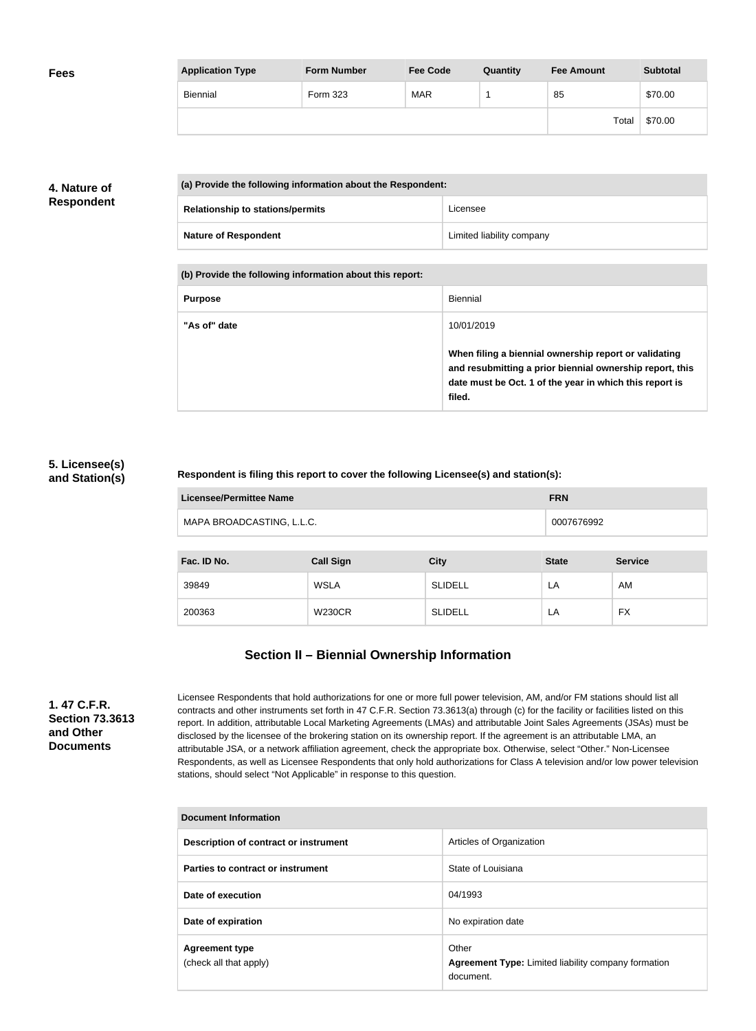| <b>Fees</b> | <b>Application Type</b> | <b>Form Number</b> | <b>Fee Code</b> | Quantity | <b>Fee Amount</b> | <b>Subtotal</b> |
|-------------|-------------------------|--------------------|-----------------|----------|-------------------|-----------------|
|             | <b>Biennial</b>         | Form 323           | <b>MAR</b>      |          | 85                | \$70.00         |
|             |                         |                    |                 |          | Total             | \$70.00         |

### **4. Nature of Respondent**

| (a) Provide the following information about the Respondent: |                           |
|-------------------------------------------------------------|---------------------------|
| <b>Relationship to stations/permits</b>                     | Licensee                  |
| <b>Nature of Respondent</b>                                 | Limited liability company |

**(b) Provide the following information about this report:**

| <b>Purpose</b> | Biennial                                                                                                                                                                               |
|----------------|----------------------------------------------------------------------------------------------------------------------------------------------------------------------------------------|
| "As of" date   | 10/01/2019                                                                                                                                                                             |
|                | When filing a biennial ownership report or validating<br>and resubmitting a prior biennial ownership report, this<br>date must be Oct. 1 of the year in which this report is<br>filed. |

#### **5. Licensee(s) and Station(s)**

#### **Respondent is filing this report to cover the following Licensee(s) and station(s):**

| Licensee/Permittee Name   | <b>FRN</b> |
|---------------------------|------------|
| MAPA BROADCASTING, L.L.C. | 0007676992 |

| Fac. ID No. | <b>Call Sign</b> | <b>City</b>    | <b>State</b> | <b>Service</b> |
|-------------|------------------|----------------|--------------|----------------|
| 39849       | <b>WSLA</b>      | <b>SLIDELL</b> | LA           | AM             |
| 200363      | <b>W230CR</b>    | <b>SLIDELL</b> | LA           | FX             |

## **Section II – Biennial Ownership Information**

**1. 47 C.F.R. Section 73.3613 and Other Documents**

Licensee Respondents that hold authorizations for one or more full power television, AM, and/or FM stations should list all contracts and other instruments set forth in 47 C.F.R. Section 73.3613(a) through (c) for the facility or facilities listed on this report. In addition, attributable Local Marketing Agreements (LMAs) and attributable Joint Sales Agreements (JSAs) must be disclosed by the licensee of the brokering station on its ownership report. If the agreement is an attributable LMA, an attributable JSA, or a network affiliation agreement, check the appropriate box. Otherwise, select "Other." Non-Licensee Respondents, as well as Licensee Respondents that only hold authorizations for Class A television and/or low power television stations, should select "Not Applicable" in response to this question.

| <b>Document Information</b>                     |                                                                                  |
|-------------------------------------------------|----------------------------------------------------------------------------------|
| Description of contract or instrument           | Articles of Organization                                                         |
| Parties to contract or instrument               | State of Louisiana                                                               |
| Date of execution                               | 04/1993                                                                          |
| Date of expiration                              | No expiration date                                                               |
| <b>Agreement type</b><br>(check all that apply) | Other<br><b>Agreement Type: Limited liability company formation</b><br>document. |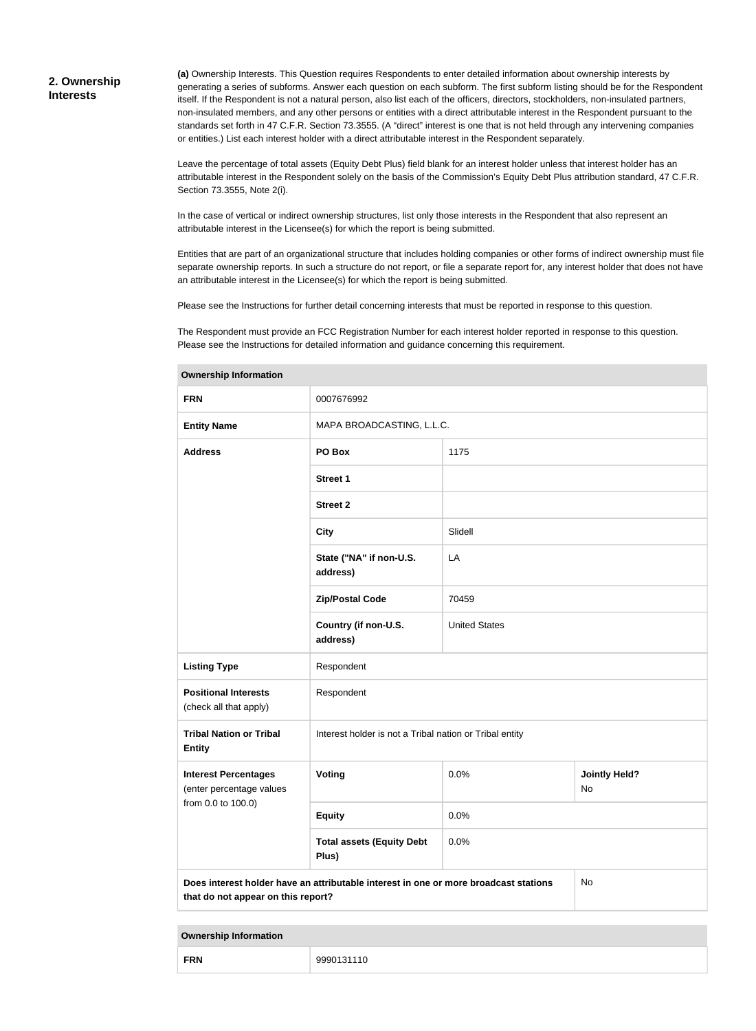#### **2. Ownership Interests**

**(a)** Ownership Interests. This Question requires Respondents to enter detailed information about ownership interests by generating a series of subforms. Answer each question on each subform. The first subform listing should be for the Respondent itself. If the Respondent is not a natural person, also list each of the officers, directors, stockholders, non-insulated partners, non-insulated members, and any other persons or entities with a direct attributable interest in the Respondent pursuant to the standards set forth in 47 C.F.R. Section 73.3555. (A "direct" interest is one that is not held through any intervening companies or entities.) List each interest holder with a direct attributable interest in the Respondent separately.

Leave the percentage of total assets (Equity Debt Plus) field blank for an interest holder unless that interest holder has an attributable interest in the Respondent solely on the basis of the Commission's Equity Debt Plus attribution standard, 47 C.F.R. Section 73.3555, Note 2(i).

In the case of vertical or indirect ownership structures, list only those interests in the Respondent that also represent an attributable interest in the Licensee(s) for which the report is being submitted.

Entities that are part of an organizational structure that includes holding companies or other forms of indirect ownership must file separate ownership reports. In such a structure do not report, or file a separate report for, any interest holder that does not have an attributable interest in the Licensee(s) for which the report is being submitted.

Please see the Instructions for further detail concerning interests that must be reported in response to this question.

The Respondent must provide an FCC Registration Number for each interest holder reported in response to this question. Please see the Instructions for detailed information and guidance concerning this requirement.

| <b>FRN</b>                                              | 0007676992                                                                           |                      |                            |  |
|---------------------------------------------------------|--------------------------------------------------------------------------------------|----------------------|----------------------------|--|
| <b>Entity Name</b>                                      | MAPA BROADCASTING, L.L.C.                                                            |                      |                            |  |
| <b>Address</b>                                          | PO Box                                                                               | 1175                 |                            |  |
|                                                         | <b>Street 1</b>                                                                      |                      |                            |  |
|                                                         | <b>Street 2</b>                                                                      |                      |                            |  |
|                                                         | <b>City</b>                                                                          | Slidell              |                            |  |
|                                                         | State ("NA" if non-U.S.<br>address)                                                  | LA                   |                            |  |
|                                                         | <b>Zip/Postal Code</b>                                                               | 70459                |                            |  |
|                                                         | Country (if non-U.S.<br>address)                                                     | <b>United States</b> |                            |  |
| <b>Listing Type</b>                                     | Respondent                                                                           |                      |                            |  |
| <b>Positional Interests</b><br>(check all that apply)   | Respondent                                                                           |                      |                            |  |
| <b>Tribal Nation or Tribal</b><br><b>Entity</b>         | Interest holder is not a Tribal nation or Tribal entity                              |                      |                            |  |
| <b>Interest Percentages</b><br>(enter percentage values | Voting                                                                               | 0.0%                 | <b>Jointly Held?</b><br>No |  |
| from 0.0 to 100.0)                                      | <b>Equity</b>                                                                        | 0.0%                 |                            |  |
|                                                         | <b>Total assets (Equity Debt</b><br>Plus)                                            | 0.0%                 |                            |  |
| that do not appear on this report?                      | Does interest holder have an attributable interest in one or more broadcast stations |                      | No                         |  |

**Ownership Information**

**Ownership Information**

| <b>FRN</b> | וחר<br>1 U |
|------------|------------|
|------------|------------|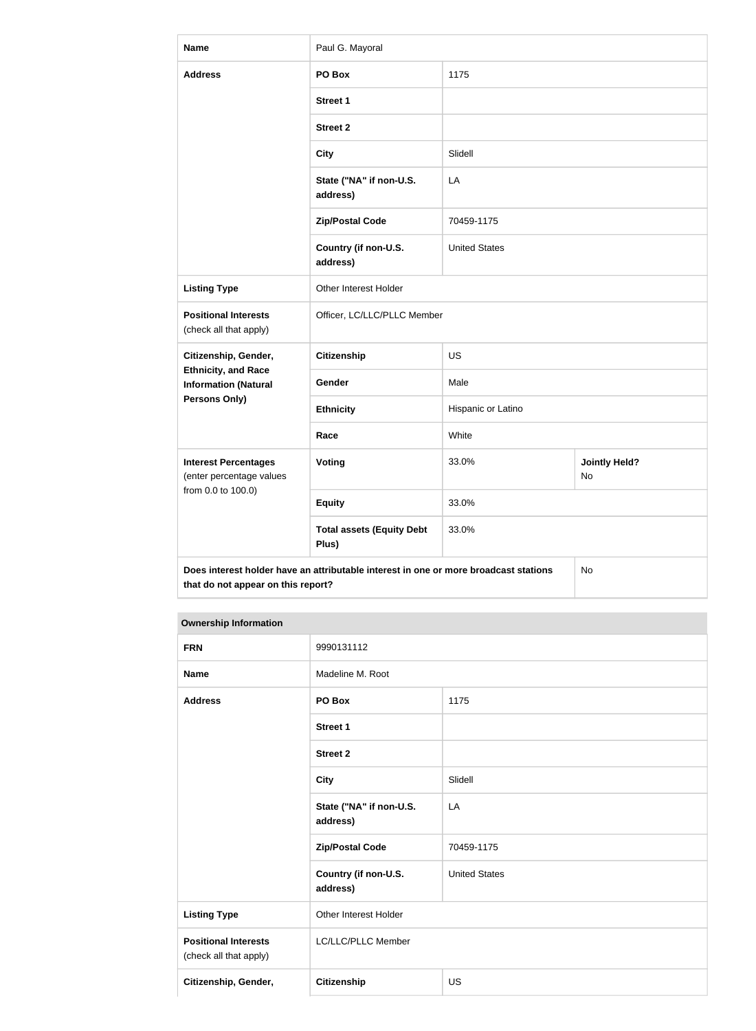| <b>Name</b>                                                                                                                      | Paul G. Mayoral                           |                      |                            |
|----------------------------------------------------------------------------------------------------------------------------------|-------------------------------------------|----------------------|----------------------------|
| <b>Address</b>                                                                                                                   | PO Box<br>1175                            |                      |                            |
|                                                                                                                                  | <b>Street 1</b>                           |                      |                            |
|                                                                                                                                  | <b>Street 2</b>                           |                      |                            |
|                                                                                                                                  | <b>City</b>                               | Slidell              |                            |
|                                                                                                                                  | State ("NA" if non-U.S.<br>address)       | LA                   |                            |
|                                                                                                                                  | <b>Zip/Postal Code</b>                    | 70459-1175           |                            |
|                                                                                                                                  | Country (if non-U.S.<br>address)          | <b>United States</b> |                            |
| <b>Listing Type</b>                                                                                                              | Other Interest Holder                     |                      |                            |
| <b>Positional Interests</b><br>(check all that apply)                                                                            | Officer, LC/LLC/PLLC Member               |                      |                            |
| Citizenship, Gender,                                                                                                             | <b>Citizenship</b>                        | <b>US</b>            |                            |
| <b>Ethnicity, and Race</b><br><b>Information (Natural</b>                                                                        | Gender                                    | Male                 |                            |
| <b>Persons Only)</b>                                                                                                             | <b>Ethnicity</b>                          | Hispanic or Latino   |                            |
|                                                                                                                                  | Race                                      | White                |                            |
| <b>Interest Percentages</b><br>(enter percentage values<br>from 0.0 to 100.0)                                                    | <b>Voting</b>                             | 33.0%                | <b>Jointly Held?</b><br>No |
|                                                                                                                                  | <b>Equity</b>                             | 33.0%                |                            |
|                                                                                                                                  | <b>Total assets (Equity Debt</b><br>Plus) | 33.0%                |                            |
| Does interest holder have an attributable interest in one or more broadcast stations<br>No<br>that do not appear on this report? |                                           |                      |                            |

### **Ownership Information**

| <b>FRN</b>                                            | 9990131112                          |                      |
|-------------------------------------------------------|-------------------------------------|----------------------|
| <b>Name</b>                                           | Madeline M. Root                    |                      |
| <b>Address</b>                                        | PO Box                              | 1175                 |
|                                                       | <b>Street 1</b>                     |                      |
|                                                       | <b>Street 2</b>                     |                      |
|                                                       | <b>City</b>                         | Slidell              |
|                                                       | State ("NA" if non-U.S.<br>address) | LA                   |
|                                                       | <b>Zip/Postal Code</b>              | 70459-1175           |
|                                                       | Country (if non-U.S.<br>address)    | <b>United States</b> |
| <b>Listing Type</b>                                   | Other Interest Holder               |                      |
| <b>Positional Interests</b><br>(check all that apply) | LC/LLC/PLLC Member                  |                      |
| Citizenship, Gender,                                  | Citizenship                         | <b>US</b>            |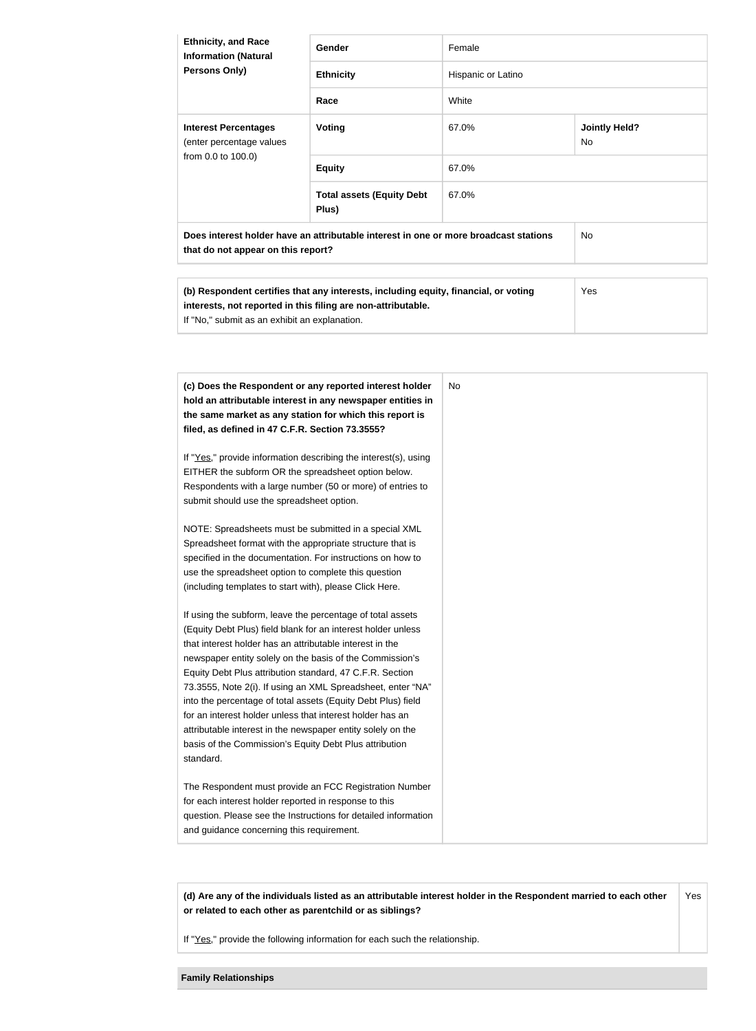| <b>Ethnicity, and Race</b><br><b>Information (Natural</b><br><b>Persons Only)</b>                                          | <b>Gender</b>                             | Female             |                            |
|----------------------------------------------------------------------------------------------------------------------------|-------------------------------------------|--------------------|----------------------------|
|                                                                                                                            |                                           |                    |                            |
|                                                                                                                            | <b>Ethnicity</b>                          | Hispanic or Latino |                            |
|                                                                                                                            | Race                                      | White              |                            |
| <b>Interest Percentages</b><br>(enter percentage values<br>from 0.0 to 100.0)                                              | <b>Voting</b>                             | 67.0%              | <b>Jointly Held?</b><br>No |
|                                                                                                                            | <b>Equity</b>                             | 67.0%              |                            |
|                                                                                                                            | <b>Total assets (Equity Debt</b><br>Plus) | 67.0%              |                            |
| Does interest holder have an attributable interest in one or more broadcast stations<br>that do not appear on this report? |                                           |                    | No.                        |

| (b) Respondent certifies that any interests, including equity, financial, or voting | Yes |
|-------------------------------------------------------------------------------------|-----|
| interests, not reported in this filing are non-attributable.                        |     |
| If "No," submit as an exhibit an explanation.                                       |     |

| (c) Does the Respondent or any reported interest holder<br>hold an attributable interest in any newspaper entities in<br>the same market as any station for which this report is<br>filed, as defined in 47 C.F.R. Section 73.3555? | No |
|-------------------------------------------------------------------------------------------------------------------------------------------------------------------------------------------------------------------------------------|----|
| If "Yes," provide information describing the interest(s), using                                                                                                                                                                     |    |
| EITHER the subform OR the spreadsheet option below.                                                                                                                                                                                 |    |
| Respondents with a large number (50 or more) of entries to                                                                                                                                                                          |    |
| submit should use the spreadsheet option.                                                                                                                                                                                           |    |
| NOTE: Spreadsheets must be submitted in a special XML                                                                                                                                                                               |    |
| Spreadsheet format with the appropriate structure that is                                                                                                                                                                           |    |
| specified in the documentation. For instructions on how to                                                                                                                                                                          |    |
| use the spreadsheet option to complete this question                                                                                                                                                                                |    |
| (including templates to start with), please Click Here.                                                                                                                                                                             |    |
| If using the subform, leave the percentage of total assets                                                                                                                                                                          |    |
| (Equity Debt Plus) field blank for an interest holder unless                                                                                                                                                                        |    |
| that interest holder has an attributable interest in the                                                                                                                                                                            |    |
| newspaper entity solely on the basis of the Commission's                                                                                                                                                                            |    |
| Equity Debt Plus attribution standard, 47 C.F.R. Section                                                                                                                                                                            |    |
| 73.3555, Note 2(i). If using an XML Spreadsheet, enter "NA"                                                                                                                                                                         |    |
| into the percentage of total assets (Equity Debt Plus) field                                                                                                                                                                        |    |
| for an interest holder unless that interest holder has an                                                                                                                                                                           |    |
| attributable interest in the newspaper entity solely on the                                                                                                                                                                         |    |
| basis of the Commission's Equity Debt Plus attribution                                                                                                                                                                              |    |
| standard.                                                                                                                                                                                                                           |    |
| The Respondent must provide an FCC Registration Number                                                                                                                                                                              |    |
| for each interest holder reported in response to this                                                                                                                                                                               |    |
| question. Please see the Instructions for detailed information                                                                                                                                                                      |    |
| and guidance concerning this requirement.                                                                                                                                                                                           |    |

**(d) Are any of the individuals listed as an attributable interest holder in the Respondent married to each other or related to each other as parentchild or as siblings?** Yes

If "Yes," provide the following information for each such the relationship.

### **Family Relationships**